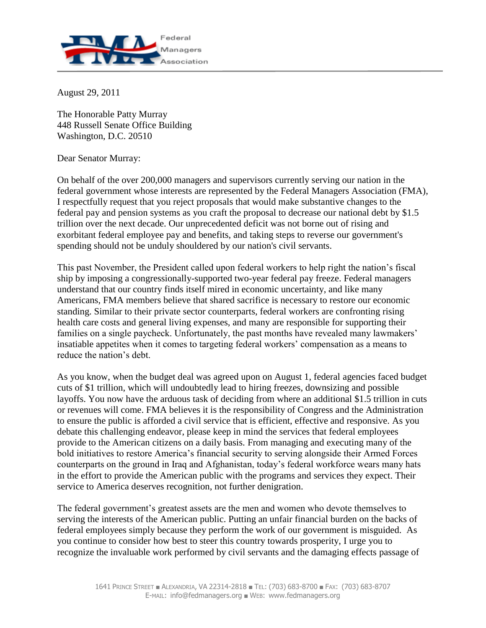

August 29, 2011

The Honorable Patty Murray 448 Russell Senate Office Building Washington, D.C. 20510

Dear Senator Murray:

On behalf of the over 200,000 managers and supervisors currently serving our nation in the federal government whose interests are represented by the Federal Managers Association (FMA), I respectfully request that you reject proposals that would make substantive changes to the federal pay and pension systems as you craft the proposal to decrease our national debt by \$1.5 trillion over the next decade. Our unprecedented deficit was not borne out of rising and exorbitant federal employee pay and benefits, and taking steps to reverse our government's spending should not be unduly shouldered by our nation's civil servants.

This past November, the President called upon federal workers to help right the nation's fiscal ship by imposing a congressionally-supported two-year federal pay freeze. Federal managers understand that our country finds itself mired in economic uncertainty, and like many Americans, FMA members believe that shared sacrifice is necessary to restore our economic standing. Similar to their private sector counterparts, federal workers are confronting rising health care costs and general living expenses, and many are responsible for supporting their families on a single paycheck. Unfortunately, the past months have revealed many lawmakers' insatiable appetites when it comes to targeting federal workers' compensation as a means to reduce the nation's debt.

As you know, when the budget deal was agreed upon on August 1, federal agencies faced budget cuts of \$1 trillion, which will undoubtedly lead to hiring freezes, downsizing and possible layoffs. You now have the arduous task of deciding from where an additional \$1.5 trillion in cuts or revenues will come. FMA believes it is the responsibility of Congress and the Administration to ensure the public is afforded a civil service that is efficient, effective and responsive. As you debate this challenging endeavor, please keep in mind the services that federal employees provide to the American citizens on a daily basis. From managing and executing many of the bold initiatives to restore America's financial security to serving alongside their Armed Forces counterparts on the ground in Iraq and Afghanistan, today's federal workforce wears many hats in the effort to provide the American public with the programs and services they expect. Their service to America deserves recognition, not further denigration.

The federal government's greatest assets are the men and women who devote themselves to serving the interests of the American public. Putting an unfair financial burden on the backs of federal employees simply because they perform the work of our government is misguided. As you continue to consider how best to steer this country towards prosperity, I urge you to recognize the invaluable work performed by civil servants and the damaging effects passage of